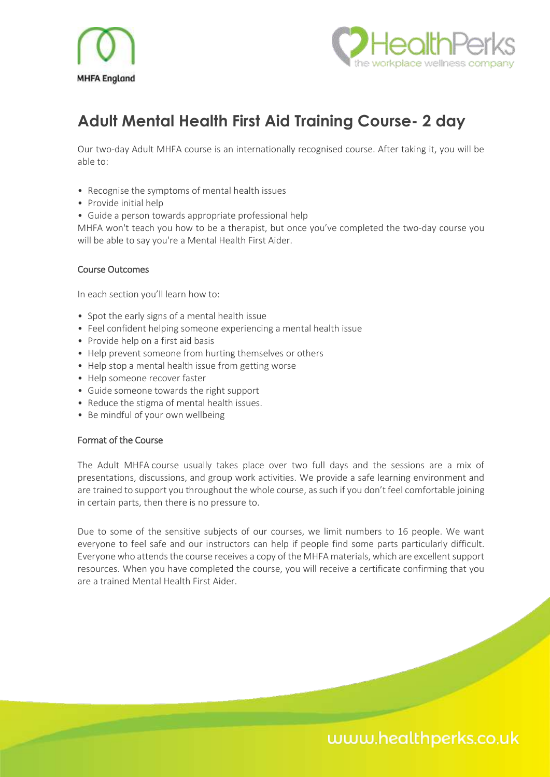



# **Adult Mental Health First Aid Training Course- 2 day**

Our two-day Adult MHFA course is an internationally recognised course. After taking it, you will be able to:

- Recognise the symptoms of mental health issues
- Provide initial help
- Guide a person towards appropriate professional help

MHFA won't teach you how to be a therapist, but once you've completed the two-day course you will be able to say you're a Mental Health First Aider.

#### Course Outcomes

In each section you'll learn how to:

- Spot the early signs of a mental health issue
- Feel confident helping someone experiencing a mental health issue
- Provide help on a first aid basis
- Help prevent someone from hurting themselves or others
- Help stop a mental health issue from getting worse
- Help someone recover faster
- Guide someone towards the right support
- Reduce the stigma of mental health issues.
- Be mindful of your own wellbeing

#### Format of the Course

The Adult MHFA course usually takes place over two full days and the sessions are a mix of presentations, discussions, and group work activities. We provide a safe learning environment and are trained to support you throughout the whole course, as such if you don't feel comfortable joining in certain parts, then there is no pressure to.

Due to some of the sensitive subjects of our courses, we limit numbers to 16 people. We want everyone to feel safe and our instructors can help if people find some parts particularly difficult. Everyone who attends the course receives a copy of the MHFA materials, which are excellent support resources. When you have completed the course, you will receive a certificate confirming that you are a trained Mental Health First Aider.

## www.healthperks.co.uk